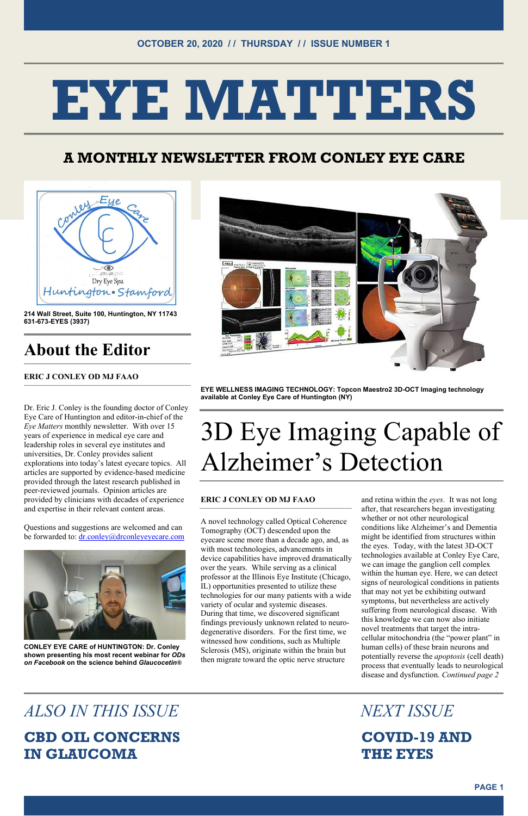# EYE MATTERS



## A MONTHLY NEWSLETTER FROM CONLEY EYE CARE



214 Wall Street, Suite 100, Huntington, NY 11743 631-673-EYES (3937)

# About the Editor

ERIC J CONLEY OD MJ FAAO

Questions and suggestions are welcomed and can be forwarded to: dr.conley@drconleyeyecare.com





Dr. Eric J. Conley is the founding doctor of Conley Eye Care of Huntington and editor-in-chief of the Eye Matters monthly newsletter. With over 15 years of experience in medical eye care and leadership roles in several eye institutes and universities, Dr. Conley provides salient explorations into today's latest eyecare topics. All articles are supported by evidence-based medicine provided through the latest research published in peer-reviewed journals. Opinion articles are provided by clinicians with decades of experience and expertise in their relevant content areas.

CONLEY EYE CARE of HUNTINGTON: Dr. Conley shown presenting his most recent webinar for ODs on Facebook on the science behind Glaucocetin®

# ALSO IN THIS ISSUE NEXT ISSUE

EYE WELLNESS IMAGING TECHNOLOGY: Topcon Maestro2 3D-OCT Imaging technology available at Conley Eye Care of Huntington (NY)

# 3D Eye Imaging Capable of Alzheimer's Detection

#### ERIC J CONLEY OD MJ FAAO

A novel technology called Optical Coherence Tomography (OCT) descended upon the eyecare scene more than a decade ago, and, as with most technologies, advancements in device capabilities have improved dramatically over the years. While serving as a clinical professor at the Illinois Eye Institute (Chicago, IL) opportunities presented to utilize these technologies for our many patients with a wide variety of ocular and systemic diseases. During that time, we discovered significant findings previously unknown related to neurodegenerative disorders. For the first time, we witnessed how conditions, such as Multiple Sclerosis (MS), originate within the brain but then migrate toward the optic nerve structure

and retina within the eyes. It was not long after, that researchers began investigating whether or not other neurological conditions like Alzheimer's and Dementia might be identified from structures within the eyes. Today, with the latest 3D-OCT technologies available at Conley Eye Care, we can image the ganglion cell complex within the human eye. Here, we can detect signs of neurological conditions in patients that may not yet be exhibiting outward symptoms, but nevertheless are actively suffering from neurological disease. With this knowledge we can now also initiate novel treatments that target the intracellular mitochondria (the "power plant" in human cells) of these brain neurons and potentially reverse the apoptosis (cell death) process that eventually leads to neurological disease and dysfunction. Continued page 2

### CBD OIL CONCERNS IN GLAUCOMA

 COVID-19 AND THE EYES